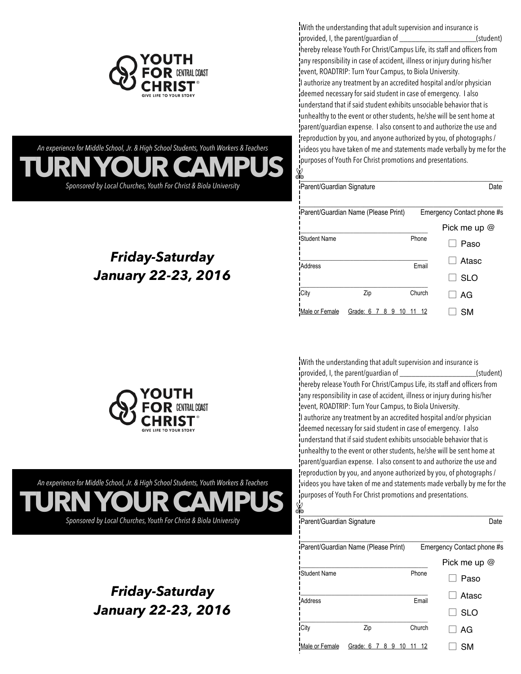

**TURN YOUR CAMPUS** *An experience for Middle School, Jr. & High School Students, Youth Workers & Teachers*

*Sponsored by Local Churches, Youth For Christ & Biola University*

*Friday-Saturday*

*January 22-23, 2016*

With the understanding that adult supervision and insurance is provided, I, the parent/guardian of \_\_\_\_\_\_\_\_\_\_\_\_\_\_\_\_\_\_\_(student) hereby release Youth For Christ/Campus Life, its staff and officers from iany responsibility in case of accident, illness or injury during his/her event, ROADTRIP: Turn Your Campus, to Biola University. I authorize any treatment by an accredited hospital and/or physician deemed necessary for said student in case of emergency. I also understand that if said student exhibits unsociable behavior that is unhealthy to the event or other students, he/she will be sent home at parent/guardian expense. I also consent to and authorize the use and reproduction by you, and anyone authorized by you, of photographs / videos you have taken of me and statements made verbally by me for the purposes of Youth For Christ promotions and presentations.

| N                          |                                      |                            |                |
|----------------------------|--------------------------------------|----------------------------|----------------|
| iParent/Guardian Signature |                                      |                            | Date           |
|                            | iParent/Guardian Name (Please Print) | Emergency Contact phone #s |                |
|                            |                                      |                            | Pick me up $@$ |
| <b>IStudent Name</b>       |                                      | Phone                      | Paso           |
| Address                    |                                      | Email                      | Atasc          |
|                            |                                      |                            | <b>SLO</b>     |
| City                       | Zip                                  | Church                     | AG             |
| Male or Female             | Grade: 6<br>8 9 10                   | - 12                       | SM             |

✄

**CENTRAL COAST** GIVE LIFE TO YOUR STORY

**TURN YOUR CAMPUS** *An experience for Middle School, Jr. & High School Students, Youth Workers & Teachers Sponsored by Local Churches, Youth For Christ & Biola University*

> *Friday-Saturday January 22-23, 2016*

With the understanding that adult supervision and insurance is provided, I, the parent/guardian of \_\_\_\_\_\_\_\_\_\_\_\_\_\_\_\_\_\_\_(student) hereby release Youth For Christ/Campus Life, its staff and officers from any responsibility in case of accident, illness or injury during his/her event, ROADTRIP: Turn Your Campus, to Biola University. I authorize any treatment by an accredited hospital and/or physician deemed necessary for said student in case of emergency. I also understand that if said student exhibits unsociable behavior that is unhealthy to the event or other students, he/she will be sent home at parent/guardian expense. I also consent to and authorize the use and reproduction by you, and anyone authorized by you, of photographs / videos you have taken of me and statements made verbally by me for the purposes of Youth For Christ promotions and presentations. ✄

| dio                        |                                             |        |                            |
|----------------------------|---------------------------------------------|--------|----------------------------|
| iParent/Guardian Signature |                                             |        | Date                       |
|                            | <i>iParent/Guardian Name (Please Print)</i> |        | Emergency Contact phone #s |
|                            |                                             |        | Pick me up $@$             |
| <b>IStudent Name</b>       |                                             | Phone  | Paso                       |
| Address                    |                                             | Email  | Atasc                      |
|                            |                                             |        | <b>SLO</b>                 |
| City                       | Zip                                         | Church | AG                         |
| Male or Female             | Grade: 6 7 8 9 10                           | - 12   | SM                         |